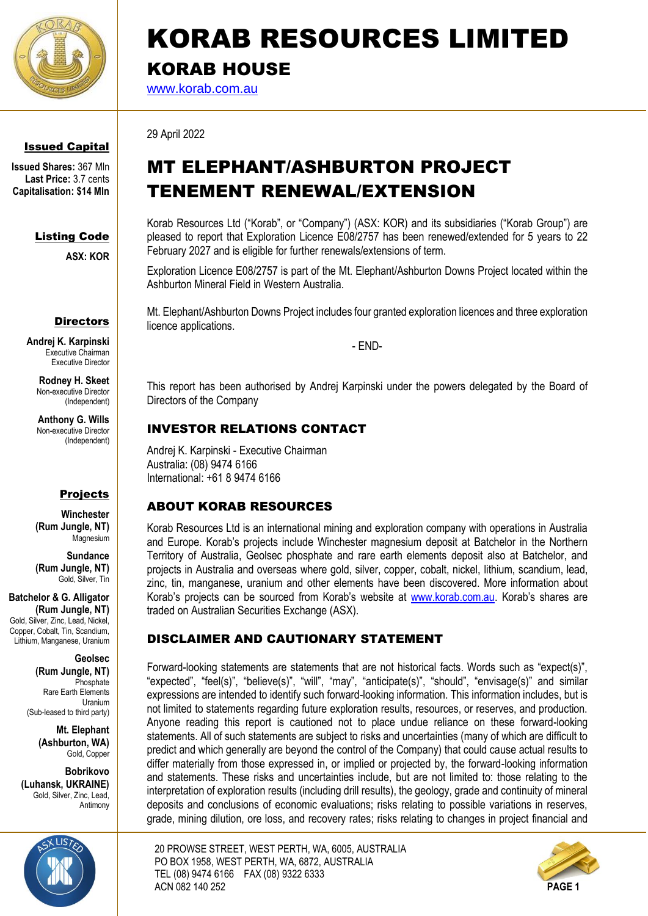

# KORAB RESOURCES LIMITED KORAB HOUSE

[www.korab.com.au](http://www.korab.com.au/)

Issued Capital

**Issued Shares:** 367 Mln **Last Price:** 3.7 cents **Capitalisation: \$14 Mln**

## Listing Code

**ASX: KOR**

#### **Directors**

**Andrej K. Karpinski** Executive Chairman Executive Director

> **Rodney H. Skeet** Non-executive Director (Independent)

**Anthony G. Wills** Non-executive Director (Independent)

### Projects

**Winchester (Rum Jungle, NT)** Magnesium

**Sundance (Rum Jungle, NT)** Gold, Silver, Tin

**Batchelor & G. Alligator (Rum Jungle, NT)** Gold, Silver, Zinc, Lead, Nickel, Copper, Cobalt, Tin, Scandium Lithium, Manganese, Uranium

> **Geolsec (Rum Jungle, NT) Phosphate** Rare Earth Elements Uranium (Sub-leased to third party)

> > **Mt. Elephant (Ashburton, WA)** Gold, Copper

**Bobrikovo (Luhansk, UKRAINE)** Gold, Silver, Zinc, Lead, Antimony



29 April 2022

# MT ELEPHANT/ASHBURTON PROJECT TENEMENT RENEWAL/EXTENSION

Korab Resources Ltd ("Korab", or "Company") (ASX: KOR) and its subsidiaries ("Korab Group") are pleased to report that Exploration Licence E08/2757 has been renewed/extended for 5 years to 22 February 2027 and is eligible for further renewals/extensions of term.

Exploration Licence E08/2757 is part of the Mt. Elephant/Ashburton Downs Project located within the Ashburton Mineral Field in Western Australia.

Mt. Elephant/Ashburton Downs Project includes four granted exploration licences and three exploration licence applications.

- END-

This report has been authorised by Andrej Karpinski under the powers delegated by the Board of Directors of the Company

# INVESTOR RELATIONS CONTACT

Andrej K. Karpinski - Executive Chairman Australia: (08) 9474 6166 International: +61 8 9474 6166

# ABOUT KORAB RESOURCES

Korab Resources Ltd is an international mining and exploration company with operations in Australia and Europe. Korab's projects include Winchester magnesium deposit at Batchelor in the Northern Territory of Australia, Geolsec phosphate and rare earth elements deposit also at Batchelor, and projects in Australia and overseas where gold, silver, copper, cobalt, nickel, lithium, scandium, lead, zinc, tin, manganese, uranium and other elements have been discovered. More information about Korab's projects can be sourced from Korab's website at [www.korab.com.au](http://www.korab.com.au/). Korab's shares are traded on Australian Securities Exchange (ASX).

# DISCLAIMER AND CAUTIONARY STATEMENT

Forward-looking statements are statements that are not historical facts. Words such as "expect(s)", "expected", "feel(s)", "believe(s)", "will", "may", "anticipate(s)", "should", "envisage(s)" and similar expressions are intended to identify such forward-looking information. This information includes, but is not limited to statements regarding future exploration results, resources, or reserves, and production. Anyone reading this report is cautioned not to place undue reliance on these forward-looking statements. All of such statements are subject to risks and uncertainties (many of which are difficult to predict and which generally are beyond the control of the Company) that could cause actual results to differ materially from those expressed in, or implied or projected by, the forward-looking information and statements. These risks and uncertainties include, but are not limited to: those relating to the interpretation of exploration results (including drill results), the geology, grade and continuity of mineral deposits and conclusions of economic evaluations; risks relating to possible variations in reserves, grade, mining dilution, ore loss, and recovery rates; risks relating to changes in project financial and

20 PROWSE STREET, WEST PERTH, WA, 6005, AUSTRALIA PO BOX 1958, WEST PERTH, WA, 6872, AUSTRALIA TEL (08) 9474 6166 FAX (08) 9322 6333 ACN 082 140 252 **PAGE 1**